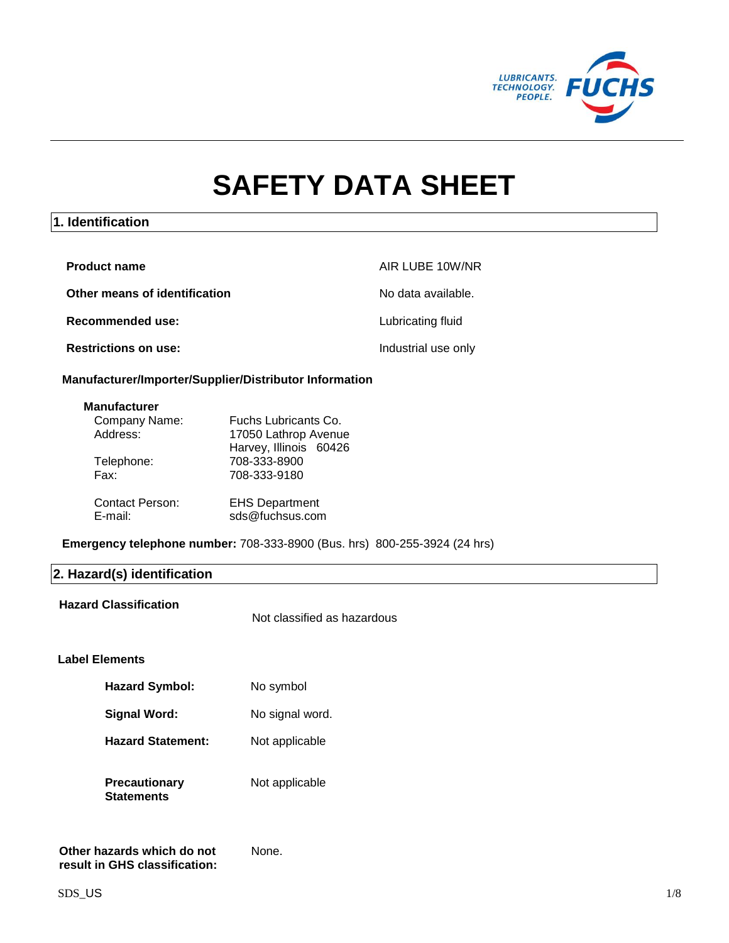

# **SAFETY DATA SHEET**

### **1. Identification**

| <b>Product name</b>           | AIR LUBE 10W/NR     |
|-------------------------------|---------------------|
| Other means of identification | No data available.  |
| Recommended use:              | Lubricating fluid   |
| <b>Restrictions on use:</b>   | Industrial use only |

### **Manufacturer/Importer/Supplier/Distributor Information**

### **Manufacturer**

| Company Name:          | Fuchs Lubricants Co.   |
|------------------------|------------------------|
| Address:               | 17050 Lathrop Avenue   |
|                        | Harvey, Illinois 60426 |
| Telephone:             | 708-333-8900           |
| Fax:                   | 708-333-9180           |
|                        |                        |
| <b>Contact Person:</b> | <b>EHS Department</b>  |
| E-mail:                | sds@fuchsus.com        |

**Emergency telephone number:** 708-333-8900 (Bus. hrs) 800-255-3924 (24 hrs)

# **2. Hazard(s) identification**

**Hazard Classification**

Not classified as hazardous

### **Label Elements**

| <b>Hazard Symbol:</b>       | No symbol       |
|-----------------------------|-----------------|
| <b>Signal Word:</b>         | No signal word. |
| <b>Hazard Statement:</b>    | Not applicable  |
| Precautionarv<br>Statements | Not applicable  |

None.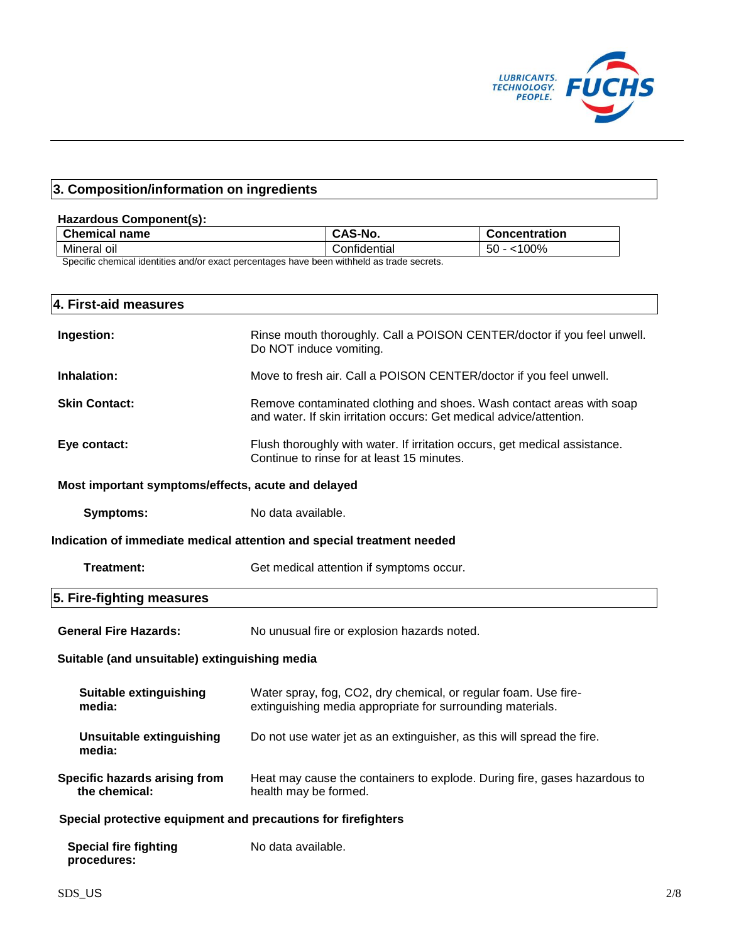

# **3. Composition/information on ingredients**

### **Hazardous Component(s):**

| <b>Chemical name</b> | <b>CAS-No.</b> | <b>Concentration</b> |
|----------------------|----------------|----------------------|
| Mineral oil          | Confidential   | '00%<br>$\sim$<br>эu |

Specific chemical identities and/or exact percentages have been withheld as trade secrets.

| 4. First-aid measures                                                  |                                                                                                                                             |  |
|------------------------------------------------------------------------|---------------------------------------------------------------------------------------------------------------------------------------------|--|
| Ingestion:                                                             | Rinse mouth thoroughly. Call a POISON CENTER/doctor if you feel unwell.<br>Do NOT induce vomiting.                                          |  |
| Inhalation:                                                            | Move to fresh air. Call a POISON CENTER/doctor if you feel unwell.                                                                          |  |
| <b>Skin Contact:</b>                                                   | Remove contaminated clothing and shoes. Wash contact areas with soap<br>and water. If skin irritation occurs: Get medical advice/attention. |  |
| Eye contact:                                                           | Flush thoroughly with water. If irritation occurs, get medical assistance.<br>Continue to rinse for at least 15 minutes.                    |  |
| Most important symptoms/effects, acute and delayed                     |                                                                                                                                             |  |
| <b>Symptoms:</b>                                                       | No data available.                                                                                                                          |  |
| Indication of immediate medical attention and special treatment needed |                                                                                                                                             |  |
| Treatment:                                                             | Get medical attention if symptoms occur.                                                                                                    |  |
| 5. Fire-fighting measures                                              |                                                                                                                                             |  |
| <b>General Fire Hazards:</b>                                           | No unusual fire or explosion hazards noted.                                                                                                 |  |
| Suitable (and unsuitable) extinguishing media                          |                                                                                                                                             |  |
| Suitable extinguishing<br>media:                                       | Water spray, fog, CO2, dry chemical, or regular foam. Use fire-<br>extinguishing media appropriate for surrounding materials.               |  |
| <b>Unsuitable extinguishing</b><br>media:                              | Do not use water jet as an extinguisher, as this will spread the fire.                                                                      |  |
| Specific hazards arising from<br>the chemical:                         | Heat may cause the containers to explode. During fire, gases hazardous to<br>health may be formed.                                          |  |
| Special protective equipment and precautions for firefighters          |                                                                                                                                             |  |
| <b>Special fire fighting</b><br>procedures:                            | No data available.                                                                                                                          |  |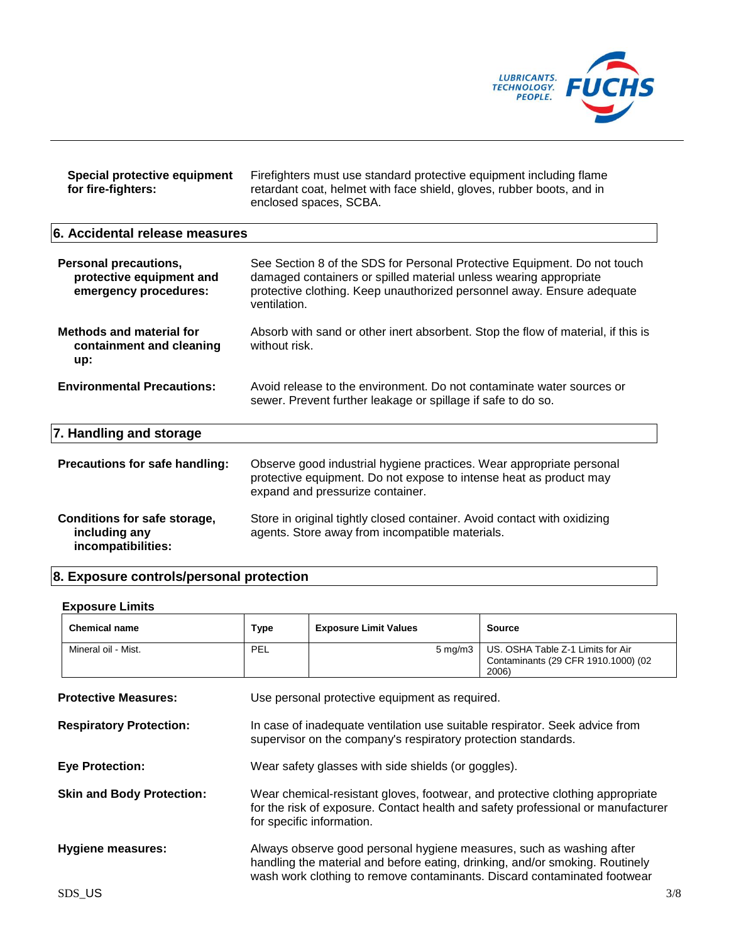

| Special protective equipment | Firefighters must use standard protective equipment including flame   |
|------------------------------|-----------------------------------------------------------------------|
| for fire-fighters:           | retardant coat, helmet with face shield, gloves, rubber boots, and in |
|                              | enclosed spaces, SCBA.                                                |

# **6. Accidental release measures**

| <b>Personal precautions,</b><br>protective equipment and<br>emergency procedures: | See Section 8 of the SDS for Personal Protective Equipment. Do not touch<br>damaged containers or spilled material unless wearing appropriate<br>protective clothing. Keep unauthorized personnel away. Ensure adequate<br>ventilation. |
|-----------------------------------------------------------------------------------|-----------------------------------------------------------------------------------------------------------------------------------------------------------------------------------------------------------------------------------------|
| <b>Methods and material for</b><br>containment and cleaning<br>up:                | Absorb with sand or other inert absorbent. Stop the flow of material, if this is<br>without risk.                                                                                                                                       |
| <b>Environmental Precautions:</b>                                                 | Avoid release to the environment. Do not contaminate water sources or<br>sewer. Prevent further leakage or spillage if safe to do so.                                                                                                   |
| 7. Handling and storage                                                           |                                                                                                                                                                                                                                         |
| Precautions for safe handling:                                                    | Observe good industrial hygiene practices. Wear appropriate personal<br>protective equipment. Do not expose to intense heat as product may<br>expand and pressurize container.                                                          |
| Conditions for safe storage,<br>including any<br>incompatibilities:               | Store in original tightly closed container. Avoid contact with oxidizing<br>agents. Store away from incompatible materials.                                                                                                             |

# **8. Exposure controls/personal protection**

# **Exposure Limits**

| <b>Chemical name</b>             | Type | <b>Exposure Limit Values</b>                                                                                                                         | <b>Source</b>                                                                                                                                                     |     |
|----------------------------------|------|------------------------------------------------------------------------------------------------------------------------------------------------------|-------------------------------------------------------------------------------------------------------------------------------------------------------------------|-----|
| Mineral oil - Mist.              | PEL  | $5 \text{ mg/m}$ 3                                                                                                                                   | US. OSHA Table Z-1 Limits for Air<br>Contaminants (29 CFR 1910.1000) (02<br>2006)                                                                                 |     |
| <b>Protective Measures:</b>      |      | Use personal protective equipment as required.                                                                                                       |                                                                                                                                                                   |     |
| <b>Respiratory Protection:</b>   |      | In case of inadequate ventilation use suitable respirator. Seek advice from<br>supervisor on the company's respiratory protection standards.         |                                                                                                                                                                   |     |
| <b>Eye Protection:</b>           |      | Wear safety glasses with side shields (or goggles).                                                                                                  |                                                                                                                                                                   |     |
| <b>Skin and Body Protection:</b> |      | for specific information.                                                                                                                            | Wear chemical-resistant gloves, footwear, and protective clothing appropriate<br>for the risk of exposure. Contact health and safety professional or manufacturer |     |
| Hygiene measures:                |      | Always observe good personal hygiene measures, such as washing after<br>handling the material and before eating, drinking, and/or smoking. Routinely | wash work clothing to remove contaminants. Discard contaminated footwear                                                                                          |     |
| SDS_US                           |      |                                                                                                                                                      |                                                                                                                                                                   | 3/8 |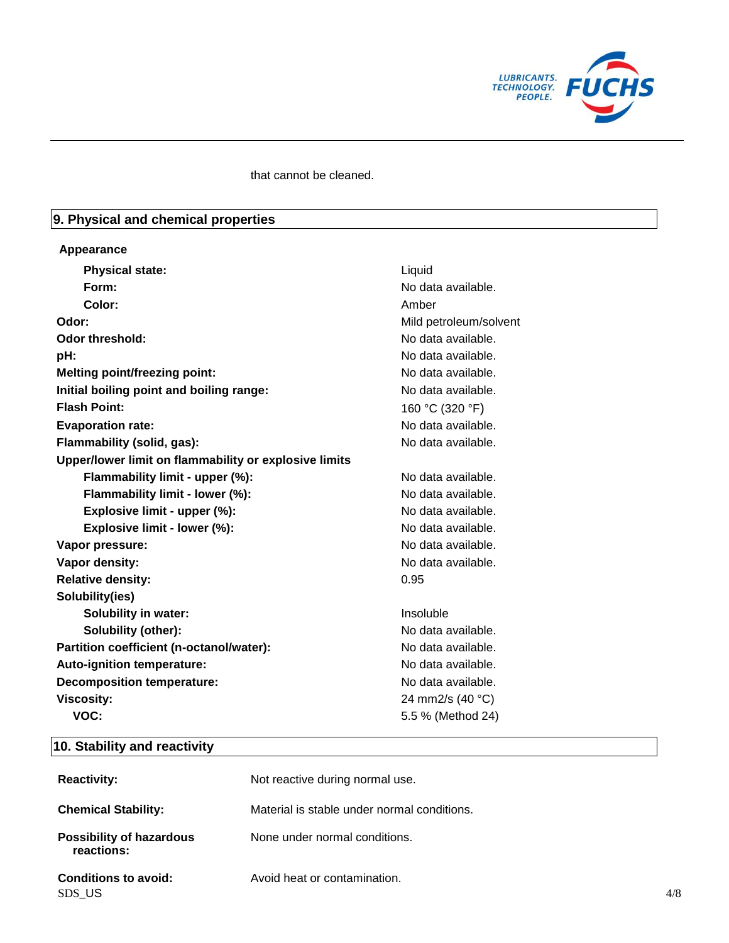

### that cannot be cleaned.

# **9. Physical and chemical properties**

### **Appearance**

| <b>Physical state:</b>                                | Liquid                 |
|-------------------------------------------------------|------------------------|
| Form:                                                 | No data available.     |
| Color:                                                | Amber                  |
| Odor:                                                 | Mild petroleum/solvent |
| <b>Odor threshold:</b>                                | No data available.     |
| pH:                                                   | No data available.     |
| <b>Melting point/freezing point:</b>                  | No data available.     |
| Initial boiling point and boiling range:              | No data available.     |
| <b>Flash Point:</b>                                   | 160 °C (320 °F)        |
| <b>Evaporation rate:</b>                              | No data available.     |
| Flammability (solid, gas):                            | No data available.     |
| Upper/lower limit on flammability or explosive limits |                        |
| Flammability limit - upper (%):                       | No data available.     |
| Flammability limit - lower (%):                       | No data available.     |
| Explosive limit - upper (%):                          | No data available.     |
| Explosive limit - lower (%):                          | No data available.     |
| Vapor pressure:                                       | No data available.     |
| Vapor density:                                        | No data available.     |
| <b>Relative density:</b>                              | 0.95                   |
| Solubility(ies)                                       |                        |
| <b>Solubility in water:</b>                           | Insoluble              |
| Solubility (other):                                   | No data available.     |
| Partition coefficient (n-octanol/water):              | No data available.     |
| Auto-ignition temperature:                            | No data available.     |
| <b>Decomposition temperature:</b>                     | No data available.     |
| <b>Viscosity:</b>                                     | 24 mm2/s (40 °C)       |
| VOC:                                                  | 5.5 % (Method 24)      |

# **10. Stability and reactivity**

| <b>Reactivity:</b>                            | Not reactive during normal use.             |     |
|-----------------------------------------------|---------------------------------------------|-----|
| <b>Chemical Stability:</b>                    | Material is stable under normal conditions. |     |
| <b>Possibility of hazardous</b><br>reactions: | None under normal conditions.               |     |
| <b>Conditions to avoid:</b><br>SDS_US         | Avoid heat or contamination.                | 4/8 |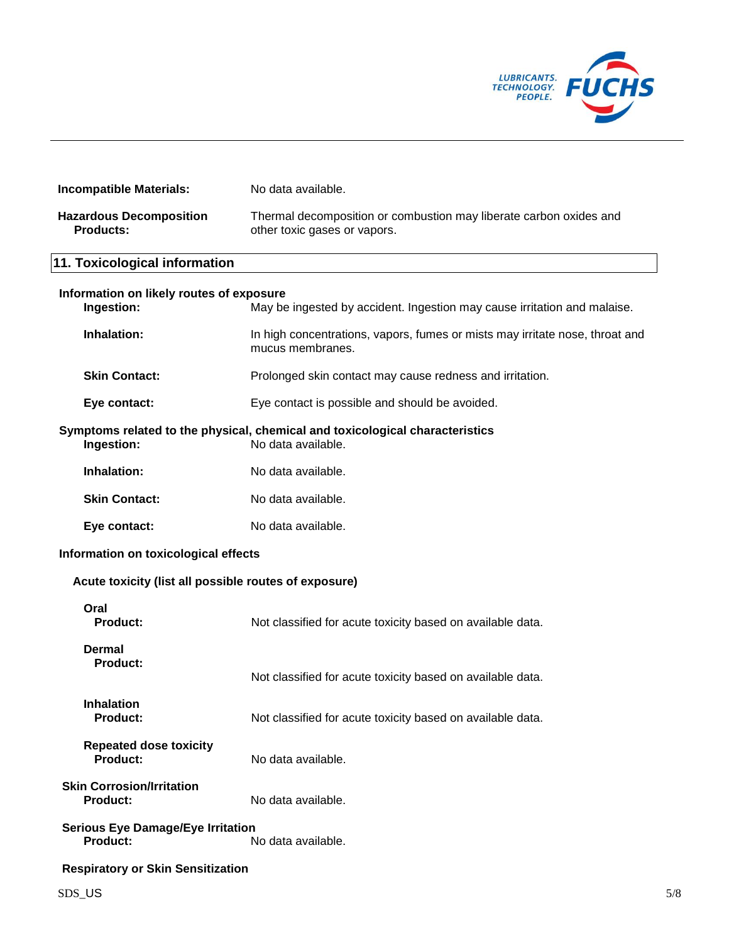

| <b>Incompatible Materials:</b>                              | No data available.                                                                                 |
|-------------------------------------------------------------|----------------------------------------------------------------------------------------------------|
| <b>Hazardous Decomposition</b><br><b>Products:</b>          | Thermal decomposition or combustion may liberate carbon oxides and<br>other toxic gases or vapors. |
| 11. Toxicological information                               |                                                                                                    |
| Information on likely routes of exposure<br>Ingestion:      | May be ingested by accident. Ingestion may cause irritation and malaise.                           |
| Inhalation:                                                 | In high concentrations, vapors, fumes or mists may irritate nose, throat and<br>mucus membranes.   |
| <b>Skin Contact:</b>                                        | Prolonged skin contact may cause redness and irritation.                                           |
| Eye contact:                                                | Eye contact is possible and should be avoided.                                                     |
| Ingestion:                                                  | Symptoms related to the physical, chemical and toxicological characteristics<br>No data available. |
| Inhalation:                                                 | No data available.                                                                                 |
| <b>Skin Contact:</b>                                        | No data available.                                                                                 |
| Eye contact:                                                | No data available.                                                                                 |
| Information on toxicological effects                        |                                                                                                    |
| Acute toxicity (list all possible routes of exposure)       |                                                                                                    |
| Oral<br><b>Product:</b>                                     | Not classified for acute toxicity based on available data.                                         |
| <b>Dermal</b><br><b>Product:</b>                            | Not classified for acute toxicity based on available data.                                         |
| <b>Inhalation</b><br><b>Product:</b>                        | Not classified for acute toxicity based on available data.                                         |
| <b>Repeated dose toxicity</b><br><b>Product:</b>            | No data available.                                                                                 |
| <b>Skin Corrosion/Irritation</b><br><b>Product:</b>         | No data available.                                                                                 |
| <b>Serious Eye Damage/Eye Irritation</b><br><b>Product:</b> | No data available.                                                                                 |
| <b>Respiratory or Skin Sensitization</b>                    |                                                                                                    |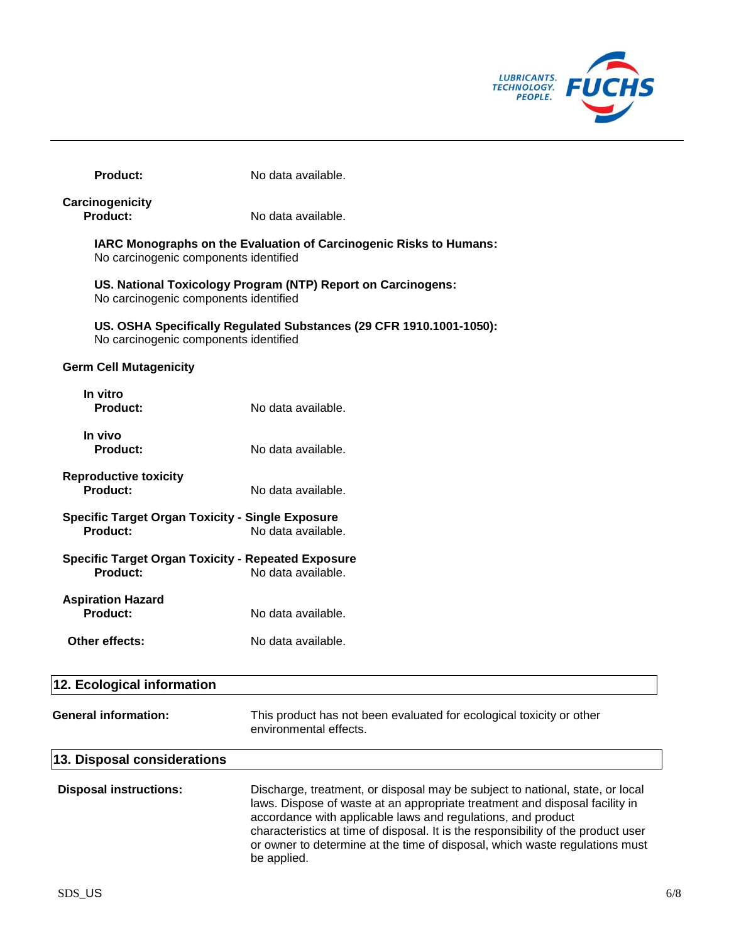

| <b>Product:</b>                                                       | No data available.                                                  |
|-----------------------------------------------------------------------|---------------------------------------------------------------------|
| Carcinogenicity<br>Product:                                           | No data available.                                                  |
| No carcinogenic components identified                                 | IARC Monographs on the Evaluation of Carcinogenic Risks to Humans:  |
| No carcinogenic components identified                                 | US. National Toxicology Program (NTP) Report on Carcinogens:        |
| No carcinogenic components identified                                 | US. OSHA Specifically Regulated Substances (29 CFR 1910.1001-1050): |
| <b>Germ Cell Mutagenicity</b>                                         |                                                                     |
| In vitro<br>Product:                                                  | No data available.                                                  |
| In vivo<br>Product:                                                   | No data available.                                                  |
| <b>Reproductive toxicity</b><br>Product:                              | No data available.                                                  |
| <b>Specific Target Organ Toxicity - Single Exposure</b><br>Product:   | No data available.                                                  |
| <b>Specific Target Organ Toxicity - Repeated Exposure</b><br>Product: | No data available.                                                  |
| <b>Aspiration Hazard</b><br>Product:                                  | No data available.                                                  |
| Other effects:                                                        | No data available.                                                  |
| 12. Ecological information                                            |                                                                     |
|                                                                       |                                                                     |

|                               | environmental effects.                                                                                                                                                                                                                                                                                                                                                                                          |
|-------------------------------|-----------------------------------------------------------------------------------------------------------------------------------------------------------------------------------------------------------------------------------------------------------------------------------------------------------------------------------------------------------------------------------------------------------------|
| 13. Disposal considerations   |                                                                                                                                                                                                                                                                                                                                                                                                                 |
| <b>Disposal instructions:</b> | Discharge, treatment, or disposal may be subject to national, state, or local<br>laws. Dispose of waste at an appropriate treatment and disposal facility in<br>accordance with applicable laws and regulations, and product<br>characteristics at time of disposal. It is the responsibility of the product user<br>or owner to determine at the time of disposal, which waste regulations must<br>be applied. |

**General information:** This product has not been evaluated for ecological toxicity or other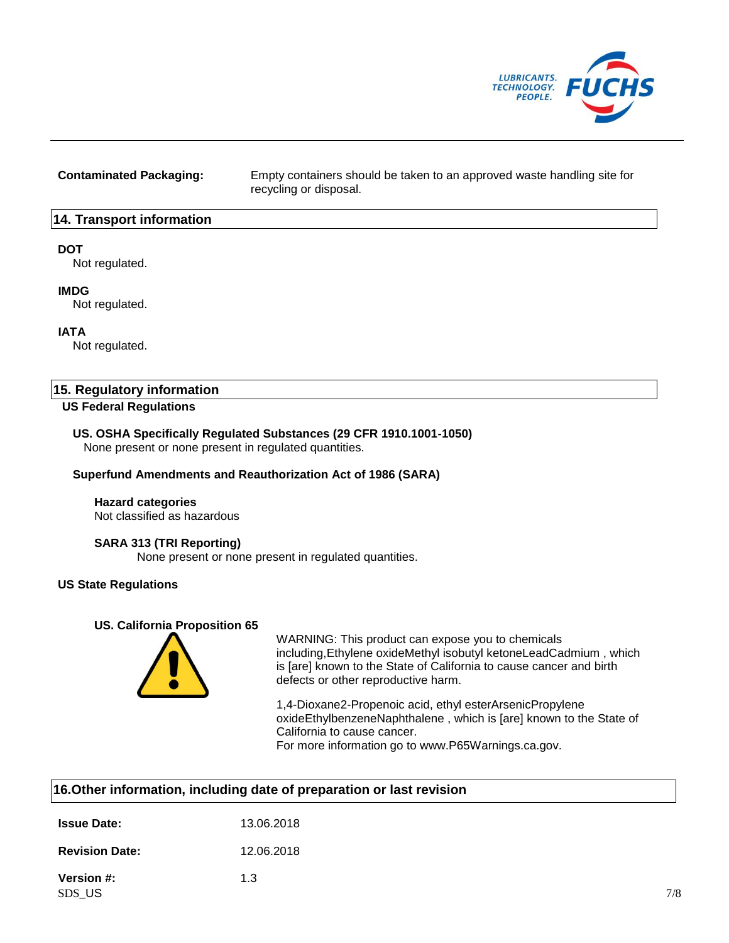

**Contaminated Packaging:** Empty containers should be taken to an approved waste handling site for recycling or disposal.

### **14. Transport information**

### **DOT**

Not regulated.

### **IMDG**

Not regulated.

### **IATA**

Not regulated.

### **15. Regulatory information**

### **US Federal Regulations**

### **US. OSHA Specifically Regulated Substances (29 CFR 1910.1001-1050)**

None present or none present in regulated quantities.

### **Superfund Amendments and Reauthorization Act of 1986 (SARA)**

### **Hazard categories**

Not classified as hazardous

### **SARA 313 (TRI Reporting)**

None present or none present in regulated quantities.

### **US State Regulations**

### **US. California Proposition 65**



WARNING: This product can expose you to chemicals including,Ethylene oxideMethyl isobutyl ketoneLeadCadmium , which is [are] known to the State of California to cause cancer and birth defects or other reproductive harm.

1,4-Dioxane2-Propenoic acid, ethyl esterArsenicPropylene oxideEthylbenzeneNaphthalene , which is [are] known to the State of California to cause cancer.

For more information go to www.P65Warnings.ca.gov.

| 16. Other information, including date of preparation or last revision |            |  |
|-----------------------------------------------------------------------|------------|--|
| <b>Issue Date:</b>                                                    | 13.06.2018 |  |

| <b>Revision Date:</b> | 12.06.2018 |
|-----------------------|------------|
|                       |            |

**Version #:** 1.3